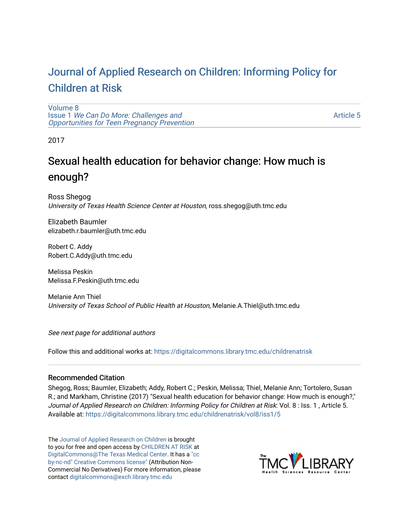# [Journal of Applied Research on Children: Informing Policy for](https://digitalcommons.library.tmc.edu/childrenatrisk) [Children at Risk](https://digitalcommons.library.tmc.edu/childrenatrisk)

[Volume 8](https://digitalcommons.library.tmc.edu/childrenatrisk/vol8) Issue 1 [We Can Do More: Challenges and](https://digitalcommons.library.tmc.edu/childrenatrisk/vol8/iss1)  [Opportunities for Teen Pregnancy Prevention](https://digitalcommons.library.tmc.edu/childrenatrisk/vol8/iss1) 

[Article 5](https://digitalcommons.library.tmc.edu/childrenatrisk/vol8/iss1/5) 

2017

# Sexual health education for behavior change: How much is enough?

Ross Shegog University of Texas Health Science Center at Houston, ross.shegog@uth.tmc.edu

Elizabeth Baumler elizabeth.r.baumler@uth.tmc.edu

Robert C. Addy Robert.C.Addy@uth.tmc.edu

Melissa Peskin Melissa.F.Peskin@uth.tmc.edu

Melanie Ann Thiel University of Texas School of Public Health at Houston, Melanie.A.Thiel@uth.tmc.edu

See next page for additional authors

Follow this and additional works at: [https://digitalcommons.library.tmc.edu/childrenatrisk](https://digitalcommons.library.tmc.edu/childrenatrisk?utm_source=digitalcommons.library.tmc.edu%2Fchildrenatrisk%2Fvol8%2Fiss1%2F5&utm_medium=PDF&utm_campaign=PDFCoverPages) 

#### Recommended Citation

Shegog, Ross; Baumler, Elizabeth; Addy, Robert C.; Peskin, Melissa; Thiel, Melanie Ann; Tortolero, Susan R.; and Markham, Christine (2017) "Sexual health education for behavior change: How much is enough?," Journal of Applied Research on Children: Informing Policy for Children at Risk: Vol. 8 : Iss. 1 , Article 5. Available at: [https://digitalcommons.library.tmc.edu/childrenatrisk/vol8/iss1/5](https://digitalcommons.library.tmc.edu/childrenatrisk/vol8/iss1/5?utm_source=digitalcommons.library.tmc.edu%2Fchildrenatrisk%2Fvol8%2Fiss1%2F5&utm_medium=PDF&utm_campaign=PDFCoverPages)

The [Journal of Applied Research on Children](http://digitalcommons.library.tmc.edu/childrenatrisk) is brought to you for free and open access by [CHILDREN AT RISK](http://childrenatrisk.org/) at [DigitalCommons@The Texas Medical Center](http://digitalcommons.library.tmc.edu/). It has a ["cc](http://creativecommons.org/licenses/by-nc-nd/3.0/)  [by-nc-nd" Creative Commons license"](http://creativecommons.org/licenses/by-nc-nd/3.0/) (Attribution Non-Commercial No Derivatives) For more information, please contact [digitalcommons@exch.library.tmc.edu](mailto:digitalcommons@exch.library.tmc.edu) 

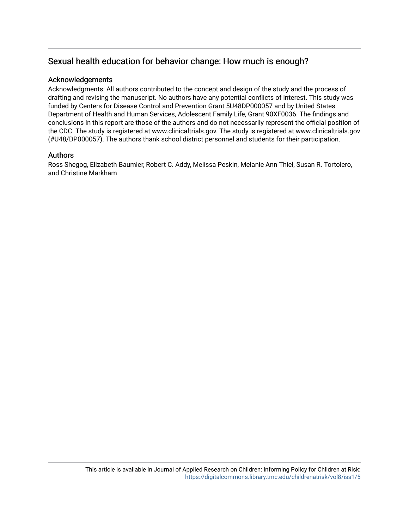## Sexual health education for behavior change: How much is enough?

#### Acknowledgements

Acknowledgments: All authors contributed to the concept and design of the study and the process of drafting and revising the manuscript. No authors have any potential conflicts of interest. This study was funded by Centers for Disease Control and Prevention Grant 5U48DP000057 and by United States Department of Health and Human Services, Adolescent Family Life, Grant 90XF0036. The findings and conclusions in this report are those of the authors and do not necessarily represent the official position of the CDC. The study is registered at www.clinicaltrials.gov. The study is registered at www.clinicaltrials.gov (#U48/DP000057). The authors thank school district personnel and students for their participation.

#### Authors

Ross Shegog, Elizabeth Baumler, Robert C. Addy, Melissa Peskin, Melanie Ann Thiel, Susan R. Tortolero, and Christine Markham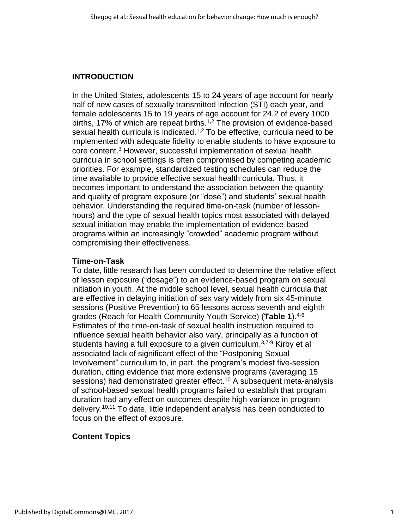## **INTRODUCTION**

In the United States, adolescents 15 to 24 years of age account for nearly half of new cases of sexually transmitted infection (STI) each year, and female adolescents 15 to 19 years of age account for 24.2 of every 1000 births, 17% of which are repeat births.<sup>1,2</sup> The provision of evidence-based sexual health curricula is indicated.<sup>1,2</sup> To be effective, curricula need to be implemented with adequate fidelity to enable students to have exposure to core content.<sup>3</sup> However, successful implementation of sexual health curricula in school settings is often compromised by competing academic priorities. For example, standardized testing schedules can reduce the time available to provide effective sexual health curricula. Thus, it becomes important to understand the association between the quantity and quality of program exposure (or "dose") and students' sexual health behavior. Understanding the required time-on-task (number of lessonhours) and the type of sexual health topics most associated with delayed sexual initiation may enable the implementation of evidence-based programs within an increasingly "crowded" academic program without compromising their effectiveness.

## **Time-on-Task**

To date, little research has been conducted to determine the relative effect of lesson exposure ("dosage") to an evidence-based program on sexual initiation in youth. At the middle school level, sexual health curricula that are effective in delaying initiation of sex vary widely from six 45-minute sessions (Positive Prevention) to 65 lessons across seventh and eighth grades (Reach for Health Community Youth Service) (**Table 1**).4-6 Estimates of the time-on-task of sexual health instruction required to influence sexual health behavior also vary, principally as a function of students having a full exposure to a given curriculum.<sup>3,7-9</sup> Kirby et al associated lack of significant effect of the "Postponing Sexual Involvement" curriculum to, in part, the program's modest five-session duration, citing evidence that more extensive programs (averaging 15 sessions) had demonstrated greater effect.<sup>10</sup> A subsequent meta-analysis of school-based sexual health programs failed to establish that program duration had any effect on outcomes despite high variance in program delivery. 10,11 To date, little independent analysis has been conducted to focus on the effect of exposure.

## **Content Topics**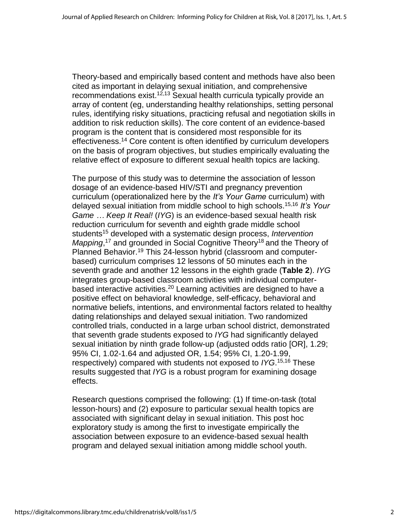Theory-based and empirically based content and methods have also been cited as important in delaying sexual initiation, and comprehensive recommendations exist.<sup>12,13</sup> Sexual health curricula typically provide an array of content (eg, understanding healthy relationships, setting personal rules, identifying risky situations, practicing refusal and negotiation skills in addition to risk reduction skills). The core content of an evidence-based program is the content that is considered most responsible for its effectiveness.<sup>14</sup> Core content is often identified by curriculum developers on the basis of program objectives, but studies empirically evaluating the relative effect of exposure to different sexual health topics are lacking.

The purpose of this study was to determine the association of lesson dosage of an evidence-based HIV/STI and pregnancy prevention curriculum (operationalized here by the *It's Your Game* curriculum) with delayed sexual initiation from middle school to high schools. 15,16 *It's Your Game … Keep It Real!* (*IYG*) is an evidence-based sexual health risk reduction curriculum for seventh and eighth grade middle school students<sup>15</sup> developed with a systematic design process, *Intervention*  Mapping,<sup>17</sup> and grounded in Social Cognitive Theory<sup>18</sup> and the Theory of Planned Behavior.<sup>19</sup> This 24-lesson hybrid (classroom and computerbased) curriculum comprises 12 lessons of 50 minutes each in the seventh grade and another 12 lessons in the eighth grade (**Table 2**). *IYG* integrates group-based classroom activities with individual computerbased interactive activities.<sup>20</sup> Learning activities are designed to have a positive effect on behavioral knowledge, self-efficacy, behavioral and normative beliefs, intentions, and environmental factors related to healthy dating relationships and delayed sexual initiation. Two randomized controlled trials, conducted in a large urban school district, demonstrated that seventh grade students exposed to *IYG* had significantly delayed sexual initiation by ninth grade follow-up (adjusted odds ratio [OR], 1.29; 95% CI, 1.02-1.64 and adjusted OR, 1.54; 95% CI, 1.20-1.99, respectively) compared with students not exposed to *IYG*. 15,16 These results suggested that *IYG* is a robust program for examining dosage effects.

Research questions comprised the following: (1) If time-on-task (total lesson-hours) and (2) exposure to particular sexual health topics are associated with significant delay in sexual initiation. This post hoc exploratory study is among the first to investigate empirically the association between exposure to an evidence-based sexual health program and delayed sexual initiation among middle school youth.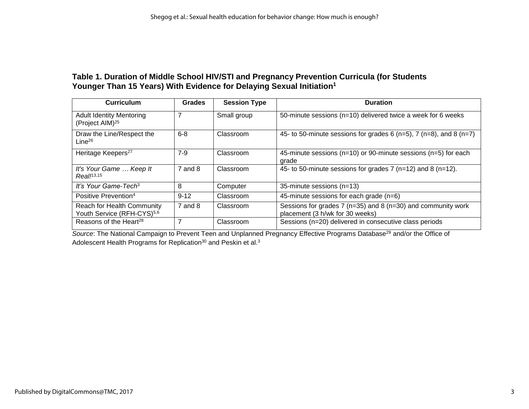#### **Table 1. Duration of Middle School HIV/STI and Pregnancy Prevention Curricula (for Students Younger Than 15 Years) With Evidence for Delaying Sexual Initiation<sup>1</sup>**

| <b>Curriculum</b>                                                           | <b>Grades</b> | <b>Session Type</b> | <b>Duration</b>                                                                                         |
|-----------------------------------------------------------------------------|---------------|---------------------|---------------------------------------------------------------------------------------------------------|
| <b>Adult Identity Mentoring</b><br>(Project AIM) <sup>25</sup>              |               | Small group         | 50-minute sessions ( $n=10$ ) delivered twice a week for 6 weeks                                        |
| Draw the Line/Respect the<br>Line <sup>26</sup>                             | $6 - 8$       | Classroom           | 45- to 50-minute sessions for grades 6 ( $n=5$ ), 7 ( $n=8$ ), and 8 ( $n=7$ )                          |
| Heritage Keepers <sup>27</sup>                                              | $7-9$         | Classroom           | 45-minute sessions ( $n=10$ ) or 90-minute sessions ( $n=5$ ) for each<br>grade                         |
| It's Your Game  Keep It<br>Real <sup>13,15</sup>                            | $7$ and $8$   | Classroom           | 45- to 50-minute sessions for grades $7$ (n=12) and 8 (n=12).                                           |
| It's Your Game-Tech <sup>3</sup>                                            | 8             | Computer            | 35-minute sessions (n=13)                                                                               |
| Positive Prevention <sup>4</sup>                                            | $9 - 12$      | Classroom           | 45-minute sessions for each grade (n=6)                                                                 |
| <b>Reach for Health Community</b><br>Youth Service (RFH-CYS) <sup>5,6</sup> | $7$ and $8$   | Classroom           | Sessions for grades 7 ( $n=35$ ) and 8 ( $n=30$ ) and community work<br>placement (3 h/wk for 30 weeks) |
| Reasons of the Heart <sup>28</sup>                                          |               | Classroom           | Sessions (n=20) delivered in consecutive class periods                                                  |

**Source: The National Campaign to Prevent Teen and Unplanned Pregnancy Effective Programs Database<sup>29</sup> and/or the Office of** Adolescent Health Programs for Replication $30$  and Peskin et al. $3$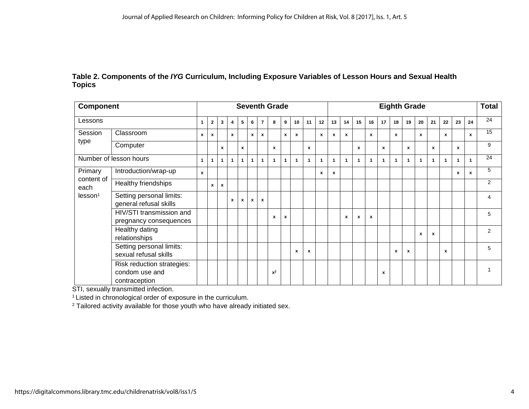#### **Table 2. Components of the** *IYG* **Curriculum, Including Exposure Variables of Lesson Hours and Sexual Health Topics**

| Component                                 |                                                               | <b>Seventh Grade</b>      |              |              |              |              |              |                |              |              | <b>Eighth Grade</b> |    |              |              |              |                           |                           |    | <b>Total</b> |              |              |                           |                  |                    |              |    |
|-------------------------------------------|---------------------------------------------------------------|---------------------------|--------------|--------------|--------------|--------------|--------------|----------------|--------------|--------------|---------------------|----|--------------|--------------|--------------|---------------------------|---------------------------|----|--------------|--------------|--------------|---------------------------|------------------|--------------------|--------------|----|
| Lessons                                   |                                                               | $\mathbf{1}$              | $\mathbf{2}$ | 3            | 4            | 5            | 6            | $\overline{7}$ | 8            | 9            | 10 <sup>°</sup>     | 11 | 12           | 13           | 14           | 15                        | 16                        | 17 | 18           | 19           | 20           | 21                        | 22               | 23                 | 24           | 24 |
| Session<br>type                           | Classroom                                                     | $\mathbf{x}$              | $\mathbf{x}$ |              | $\mathbf{x}$ |              | x            | $\mathbf{x}$   |              | $\mathbf{x}$ | $\mathbf{x}$        |    | $\mathbf{x}$ | $\mathbf{x}$ | $\mathbf{x}$ |                           | $\mathbf{x}$              |    | $\mathbf{x}$ |              | $\mathbf{x}$ |                           | $\mathbf{x}$     |                    | $\mathbf{x}$ | 15 |
|                                           | Computer                                                      |                           |              | $\mathbf{x}$ |              | $\mathbf{x}$ |              |                | $\mathbf{x}$ |              |                     | x  |              |              |              | $\mathbf{x}$              |                           | x  |              | $\mathbf{x}$ |              | $\mathbf{x}$              |                  | $\mathbf{x}$       |              | 9  |
|                                           | Number of lesson hours                                        | $\mathbf{1}$              |              | 1            | 1            | $\mathbf{1}$ | $\mathbf{1}$ | $\mathbf{1}$   | $\mathbf{1}$ | $\mathbf{1}$ | $\mathbf{1}$        | 1  | $\mathbf{1}$ | $\mathbf{1}$ | 1            | 1                         |                           | 1  | $\mathbf{1}$ | $\mathbf{1}$ | $\mathbf{1}$ | -1                        |                  | 1                  |              | 24 |
| Primary                                   | Introduction/wrap-up                                          | $\boldsymbol{\mathsf{x}}$ |              |              |              |              |              |                |              |              |                     |    | x            | $\mathbf{x}$ |              |                           |                           |    |              |              |              |                           |                  | $\pmb{\mathsf{x}}$ | $\mathbf{x}$ | 5  |
| content of<br>each<br>lesson <sup>1</sup> | Healthy friendships                                           |                           | x            | X            |              |              |              |                |              |              |                     |    |              |              |              |                           |                           |    |              |              |              |                           |                  |                    |              | 2  |
|                                           | Setting personal limits:<br>general refusal skills            |                           |              |              | x            | $\mathbf{x}$ | x            | $\mathbf{x}$   |              |              |                     |    |              |              |              |                           |                           |    |              |              |              |                           |                  |                    |              | 4  |
|                                           | HIV/STI transmission and<br>pregnancy consequences            |                           |              |              |              |              |              |                | x            | $\mathbf{x}$ |                     |    |              |              | x            | $\boldsymbol{\mathsf{x}}$ | $\boldsymbol{\mathsf{x}}$ |    |              |              |              |                           |                  |                    |              | 5  |
|                                           | Healthy dating<br>relationships                               |                           |              |              |              |              |              |                |              |              |                     |    |              |              |              |                           |                           |    |              |              | x            | $\boldsymbol{\mathsf{x}}$ |                  |                    |              | 2  |
|                                           | Setting personal limits:<br>sexual refusal skills             |                           |              |              |              |              |              |                |              |              | $\mathbf{x}$        | x  |              |              |              |                           |                           |    | x            | x            |              |                           | $\boldsymbol{x}$ |                    |              | 5  |
|                                           | Risk reduction strategies:<br>condom use and<br>contraception |                           |              |              |              |              |              |                | $x^2$        |              |                     |    |              |              |              |                           |                           | x  |              |              |              |                           |                  |                    |              |    |

STI, sexually transmitted infection.

<sup>1</sup> Listed in chronological order of exposure in the curriculum.

<sup>2</sup> Tailored activity available for those youth who have already initiated sex.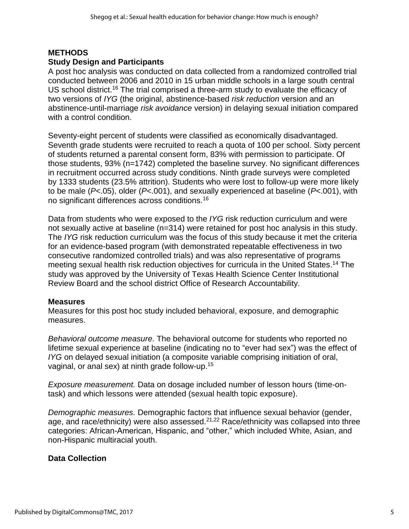## **METHODS**

#### **Study Design and Participants**

A post hoc analysis was conducted on data collected from a randomized controlled trial conducted between 2006 and 2010 in 15 urban middle schools in a large south central US school district.<sup>16</sup> The trial comprised a three-arm study to evaluate the efficacy of two versions of *IYG* (the original, abstinence-based *risk reduction* version and an abstinence-until-marriage *risk avoidance* version) in delaying sexual initiation compared with a control condition.

Seventy-eight percent of students were classified as economically disadvantaged. Seventh grade students were recruited to reach a quota of 100 per school. Sixty percent of students returned a parental consent form, 83% with permission to participate. Of those students, 93% (n=1742) completed the baseline survey. No significant differences in recruitment occurred across study conditions. Ninth grade surveys were completed by 1333 students (23.5% attrition). Students who were lost to follow-up were more likely to be male (*P*<.05), older (*P*<.001), and sexually experienced at baseline (*P*<.001), with no significant differences across conditions.<sup>16</sup>

Data from students who were exposed to the *IYG* risk reduction curriculum and were not sexually active at baseline (n=314) were retained for post hoc analysis in this study. The *IYG* risk reduction curriculum was the focus of this study because it met the criteria for an evidence-based program (with demonstrated repeatable effectiveness in two consecutive randomized controlled trials) and was also representative of programs meeting sexual health risk reduction objectives for curricula in the United States.<sup>14</sup> The study was approved by the University of Texas Health Science Center Institutional Review Board and the school district Office of Research Accountability.

#### **Measures**

Measures for this post hoc study included behavioral, exposure, and demographic measures.

*Behavioral outcome measure.* The behavioral outcome for students who reported no lifetime sexual experience at baseline (indicating no to "ever had sex") was the effect of *IYG* on delayed sexual initiation (a composite variable comprising initiation of oral, vaginal, or anal sex) at ninth grade follow-up.<sup>15</sup>

*Exposure measurement.* Data on dosage included number of lesson hours (time-ontask) and which lessons were attended (sexual health topic exposure).

*Demographic measures.* Demographic factors that influence sexual behavior (gender, age, and race/ethnicity) were also assessed.<sup>21,22</sup> Race/ethnicity was collapsed into three categories: African-American, Hispanic, and "other," which included White, Asian, and non-Hispanic multiracial youth.

#### **Data Collection**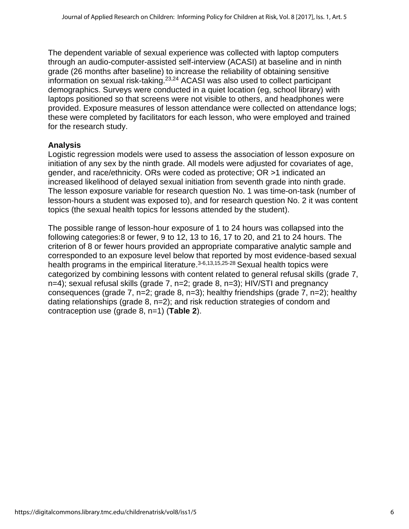The dependent variable of sexual experience was collected with laptop computers through an audio-computer-assisted self-interview (ACASI) at baseline and in ninth grade (26 months after baseline) to increase the reliability of obtaining sensitive information on sexual risk-taking. 23,24 ACASI was also used to collect participant demographics. Surveys were conducted in a quiet location (eg, school library) with laptops positioned so that screens were not visible to others, and headphones were provided. Exposure measures of lesson attendance were collected on attendance logs; these were completed by facilitators for each lesson, who were employed and trained for the research study.

#### **Analysis**

Logistic regression models were used to assess the association of lesson exposure on initiation of any sex by the ninth grade. All models were adjusted for covariates of age, gender, and race/ethnicity. ORs were coded as protective; OR >1 indicated an increased likelihood of delayed sexual initiation from seventh grade into ninth grade. The lesson exposure variable for research question No. 1 was time-on-task (number of lesson-hours a student was exposed to), and for research question No. 2 it was content topics (the sexual health topics for lessons attended by the student).

The possible range of lesson-hour exposure of 1 to 24 hours was collapsed into the following categories:8 or fewer, 9 to 12, 13 to 16, 17 to 20, and 21 to 24 hours. The criterion of 8 or fewer hours provided an appropriate comparative analytic sample and corresponded to an exposure level below that reported by most evidence-based sexual health programs in the empirical literature.<sup>3-6,13,15,25-28</sup> Sexual health topics were categorized by combining lessons with content related to general refusal skills (grade 7, n=4); sexual refusal skills (grade 7, n=2; grade 8, n=3); HIV/STI and pregnancy consequences (grade 7, n=2; grade 8, n=3); healthy friendships (grade 7, n=2); healthy dating relationships (grade 8, n=2); and risk reduction strategies of condom and contraception use (grade 8, n=1) (**Table 2**).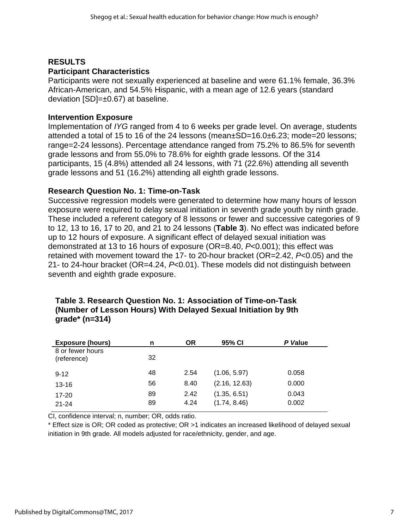## **RESULTS Participant Characteristics**

Participants were not sexually experienced at baseline and were 61.1% female, 36.3% African-American, and 54.5% Hispanic, with a mean age of 12.6 years (standard deviation  $[SD]=\pm 0.67$ ) at baseline.

## **Intervention Exposure**

Implementation of *IYG* ranged from 4 to 6 weeks per grade level. On average, students attended a total of 15 to 16 of the 24 lessons (mean±SD=16.0±6.23; mode=20 lessons; range=2-24 lessons). Percentage attendance ranged from 75.2% to 86.5% for seventh grade lessons and from 55.0% to 78.6% for eighth grade lessons. Of the 314 participants, 15 (4.8%) attended all 24 lessons, with 71 (22.6%) attending all seventh grade lessons and 51 (16.2%) attending all eighth grade lessons.

## **Research Question No. 1: Time-on-Task**

Successive regression models were generated to determine how many hours of lesson exposure were required to delay sexual initiation in seventh grade youth by ninth grade. These included a referent category of 8 lessons or fewer and successive categories of 9 to 12, 13 to 16, 17 to 20, and 21 to 24 lessons (**Table 3**). No effect was indicated before up to 12 hours of exposure. A significant effect of delayed sexual initiation was demonstrated at 13 to 16 hours of exposure (OR=8.40, *P*<0.001); this effect was retained with movement toward the 17- to 20-hour bracket (OR=2.42, *P*<0.05) and the 21- to 24-hour bracket (OR=4.24, *P*<0.01). These models did not distinguish between seventh and eighth grade exposure.

| <b>Exposure (hours)</b>         | n  | <b>OR</b> | 95% CI        | P Value |
|---------------------------------|----|-----------|---------------|---------|
| 8 or fewer hours<br>(reference) | 32 |           |               |         |
| $9 - 12$                        | 48 | 2.54      | (1.06, 5.97)  | 0.058   |
| $13 - 16$                       | 56 | 8.40      | (2.16, 12.63) | 0.000   |
| $17 - 20$                       | 89 | 2.42      | (1.35, 6.51)  | 0.043   |
| $21 - 24$                       | 89 | 4.24      | (1.74, 8.46)  | 0.002   |

#### **Table 3. Research Question No. 1: Association of Time-on-Task (Number of Lesson Hours) With Delayed Sexual Initiation by 9th grade\* (n=314)**

CI, confidence interval; n, number; OR, odds ratio.

\* Effect size is OR; OR coded as protective; OR >1 indicates an increased likelihood of delayed sexual initiation in 9th grade. All models adjusted for race/ethnicity, gender, and age.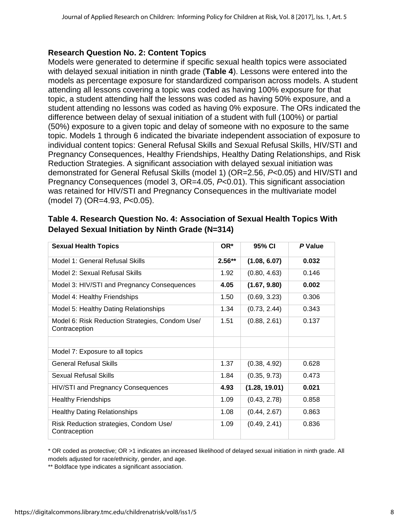#### **Research Question No. 2: Content Topics**

Models were generated to determine if specific sexual health topics were associated with delayed sexual initiation in ninth grade (**Table 4**). Lessons were entered into the models as percentage exposure for standardized comparison across models. A student attending all lessons covering a topic was coded as having 100% exposure for that topic, a student attending half the lessons was coded as having 50% exposure, and a student attending no lessons was coded as having 0% exposure. The ORs indicated the difference between delay of sexual initiation of a student with full (100%) or partial (50%) exposure to a given topic and delay of someone with no exposure to the same topic. Models 1 through 6 indicated the bivariate independent association of exposure to individual content topics: General Refusal Skills and Sexual Refusal Skills, HIV/STI and Pregnancy Consequences, Healthy Friendships, Healthy Dating Relationships, and Risk Reduction Strategies. A significant association with delayed sexual initiation was demonstrated for General Refusal Skills (model 1) (OR=2.56, *P*<0.05) and HIV/STI and Pregnancy Consequences (model 3, OR=4.05, *P*<0.01). This significant association was retained for HIV/STI and Pregnancy Consequences in the multivariate model (model 7) (OR=4.93, *P*<0.05).

## **Table 4. Research Question No. 4: Association of Sexual Health Topics With Delayed Sexual Initiation by Ninth Grade (N=314)**

| <b>Sexual Health Topics</b>                                      | OR*      | 95% CI        | P Value |
|------------------------------------------------------------------|----------|---------------|---------|
| Model 1: General Refusal Skills                                  | $2.56**$ | (1.08, 6.07)  | 0.032   |
| Model 2: Sexual Refusal Skills                                   | 1.92     | (0.80, 4.63)  | 0.146   |
| Model 3: HIV/STI and Pregnancy Consequences                      | 4.05     | (1.67, 9.80)  | 0.002   |
| Model 4: Healthy Friendships                                     | 1.50     | (0.69, 3.23)  | 0.306   |
| Model 5: Healthy Dating Relationships                            | 1.34     | (0.73, 2.44)  | 0.343   |
| Model 6: Risk Reduction Strategies, Condom Use/<br>Contraception | 1.51     | (0.88, 2.61)  | 0.137   |
|                                                                  |          |               |         |
| Model 7: Exposure to all topics                                  |          |               |         |
| <b>General Refusal Skills</b>                                    | 1.37     | (0.38, 4.92)  | 0.628   |
| Sexual Refusal Skills                                            | 1.84     | (0.35, 9.73)  | 0.473   |
| HIV/STI and Pregnancy Consequences                               | 4.93     | (1.28, 19.01) | 0.021   |
| <b>Healthy Friendships</b>                                       | 1.09     | (0.43, 2.78)  | 0.858   |
| <b>Healthy Dating Relationships</b>                              | 1.08     | (0.44, 2.67)  | 0.863   |
| Risk Reduction strategies, Condom Use/<br>Contraception          | 1.09     | (0.49, 2.41)  | 0.836   |

\* OR coded as protective; OR >1 indicates an increased likelihood of delayed sexual initiation in ninth grade. All models adjusted for race/ethnicity, gender, and age.

\*\* Boldface type indicates a significant association.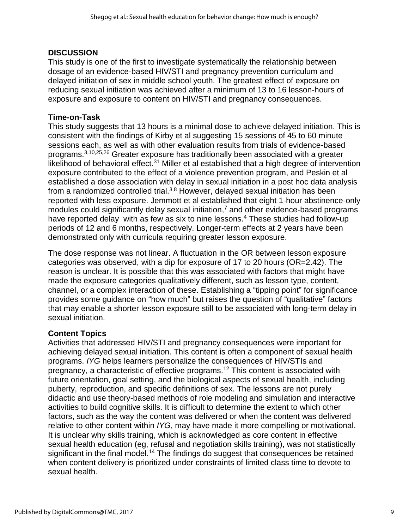#### **DISCUSSION**

This study is one of the first to investigate systematically the relationship between dosage of an evidence-based HIV/STI and pregnancy prevention curriculum and delayed initiation of sex in middle school youth. The greatest effect of exposure on reducing sexual initiation was achieved after a minimum of 13 to 16 lesson-hours of exposure and exposure to content on HIV/STI and pregnancy consequences.

#### **Time-on-Task**

This study suggests that 13 hours is a minimal dose to achieve delayed initiation. This is consistent with the findings of Kirby et al suggesting 15 sessions of 45 to 60 minute sessions each, as well as with other evaluation results from trials of evidence-based programs.3,10,25,26 Greater exposure has traditionally been associated with a greater likelihood of behavioral effect.<sup>31</sup> Miller et al established that a high degree of intervention exposure contributed to the effect of a violence prevention program, and Peskin et al established a dose association with delay in sexual initiation in a post hoc data analysis from a randomized controlled trial.<sup>3,8</sup> However, delayed sexual initiation has been reported with less exposure. Jemmott et al established that eight 1-hour abstinence-only modules could significantly delay sexual initiation,<sup>7</sup> and other evidence-based programs have reported delay with as few as six to nine lessons. <sup>4</sup> These studies had follow-up periods of 12 and 6 months, respectively. Longer-term effects at 2 years have been demonstrated only with curricula requiring greater lesson exposure.

The dose response was not linear. A fluctuation in the OR between lesson exposure categories was observed, with a dip for exposure of 17 to 20 hours (OR=2.42). The reason is unclear. It is possible that this was associated with factors that might have made the exposure categories qualitatively different, such as lesson type, content, channel, or a complex interaction of these. Establishing a "tipping point" for significance provides some guidance on "how much" but raises the question of "qualitative" factors that may enable a shorter lesson exposure still to be associated with long-term delay in sexual initiation.

#### **Content Topics**

Activities that addressed HIV/STI and pregnancy consequences were important for achieving delayed sexual initiation. This content is often a component of sexual health programs. *IYG* helps learners personalize the consequences of HIV/STIs and pregnancy, a characteristic of effective programs.<sup>12</sup> This content is associated with future orientation, goal setting, and the biological aspects of sexual health, including puberty, reproduction, and specific definitions of sex. The lessons are not purely didactic and use theory-based methods of role modeling and simulation and interactive activities to build cognitive skills. It is difficult to determine the extent to which other factors, such as the way the content was delivered or when the content was delivered relative to other content within *IYG*, may have made it more compelling or motivational. It is unclear why skills training, which is acknowledged as core content in effective sexual health education (eg, refusal and negotiation skills training), was not statistically significant in the final model.<sup>14</sup> The findings do suggest that consequences be retained when content delivery is prioritized under constraints of limited class time to devote to sexual health.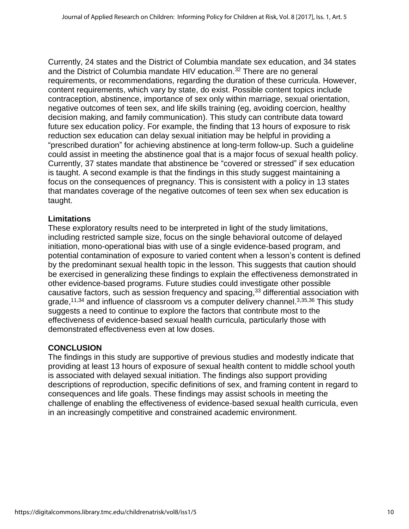Currently, 24 states and the District of Columbia mandate sex education, and 34 states and the District of Columbia mandate HIV education.<sup>32</sup> There are no general requirements, or recommendations, regarding the duration of these curricula. However, content requirements, which vary by state, do exist. Possible content topics include contraception, abstinence, importance of sex only within marriage, sexual orientation, negative outcomes of teen sex, and life skills training (eg, avoiding coercion, healthy decision making, and family communication). This study can contribute data toward future sex education policy. For example, the finding that 13 hours of exposure to risk reduction sex education can delay sexual initiation may be helpful in providing a "prescribed duration" for achieving abstinence at long-term follow-up. Such a guideline could assist in meeting the abstinence goal that is a major focus of sexual health policy. Currently, 37 states mandate that abstinence be "covered or stressed" if sex education is taught. A second example is that the findings in this study suggest maintaining a focus on the consequences of pregnancy. This is consistent with a policy in 13 states that mandates coverage of the negative outcomes of teen sex when sex education is taught.

## **Limitations**

These exploratory results need to be interpreted in light of the study limitations, including restricted sample size, focus on the single behavioral outcome of delayed initiation, mono-operational bias with use of a single evidence-based program, and potential contamination of exposure to varied content when a lesson's content is defined by the predominant sexual health topic in the lesson. This suggests that caution should be exercised in generalizing these findings to explain the effectiveness demonstrated in other evidence-based programs. Future studies could investigate other possible causative factors, such as session frequency and spacing,<sup>33</sup> differential association with grade,<sup>11,34</sup> and influence of classroom vs a computer delivery channel.<sup>3,35,36</sup> This study suggests a need to continue to explore the factors that contribute most to the effectiveness of evidence-based sexual health curricula, particularly those with demonstrated effectiveness even at low doses.

## **CONCLUSION**

The findings in this study are supportive of previous studies and modestly indicate that providing at least 13 hours of exposure of sexual health content to middle school youth is associated with delayed sexual initiation. The findings also support providing descriptions of reproduction, specific definitions of sex, and framing content in regard to consequences and life goals. These findings may assist schools in meeting the challenge of enabling the effectiveness of evidence-based sexual health curricula, even in an increasingly competitive and constrained academic environment.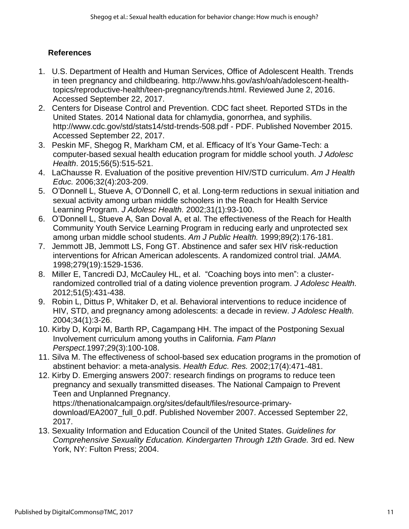## **References**

- 1. U.S. Department of Health and Human Services, Office of Adolescent Health. Trends in teen pregnancy and childbearing. http://www.hhs.gov/ash/oah/adolescent-healthtopics/reproductive-health/teen-pregnancy/trends.html. Reviewed June 2, 2016. Accessed September 22, 2017.
- 2. Centers for Disease Control and Prevention. CDC fact sheet. Reported STDs in the United States. 2014 National data for chlamydia, gonorrhea, and syphilis. http://www.cdc.gov/std/stats14/std-trends-508.pdf - PDF. Published November 2015. Accessed September 22, 2017.
- 3. Peskin MF, Shegog R, Markham CM, et al. Efficacy of It's Your Game-Tech: a computer-based sexual health education program for middle school youth. *J Adolesc Health*. 2015;56(5):515-521.
- 4. LaChausse R. Evaluation of the positive prevention HIV/STD curriculum. *Am J Health Educ.* 2006;32(4):203-209.
- 5. O'Donnell L, Stueve A, O'Donnell C, et al. Long-term reductions in sexual initiation and sexual activity among urban middle schoolers in the Reach for Health Service Learning Program. *J Adolesc Health.* 2002;31(1):93-100.
- 6. O'Donnell L, Stueve A, San Doval A, et al. The effectiveness of the Reach for Health Community Youth Service Learning Program in reducing early and unprotected sex among urban middle school students. *Am J Public Health.* 1999;89(2):176-181.
- 7. Jemmott JB, Jemmott LS, Fong GT. Abstinence and safer sex HIV risk-reduction interventions for African American adolescents. A randomized control trial. *JAMA.* 1998;279(19):1529-1536.
- 8. Miller E, Tancredi DJ, McCauley HL, et al. "Coaching boys into men": a clusterrandomized controlled trial of a dating violence prevention program. *J Adolesc Health.* 2012;51(5):431-438.
- 9. Robin L, Dittus P, Whitaker D, et al. Behavioral interventions to reduce incidence of HIV, STD, and pregnancy among adolescents: a decade in review. *J Adolesc Health.* 2004;34(1):3-26.
- 10. Kirby D, Korpi M, Barth RP, Cagampang HH. The impact of the Postponing Sexual Involvement curriculum among youths in California. *Fam Plann Perspect.*1997;29(3):100-108.
- 11. Silva M. The effectiveness of school-based sex education programs in the promotion of abstinent behavior: a meta-analysis. *Health Educ. Res.* 2002;17(4):471-481.
- 12. Kirby D. Emerging answers 2007: research findings on programs to reduce teen pregnancy and sexually transmitted diseases. The National Campaign to Prevent Teen and Unplanned Pregnancy. https://thenationalcampaign.org/sites/default/files/resource-primarydownload/EA2007 full 0.pdf. Published November 2007. Accessed September 22, 2017.
- 13. Sexuality Information and Education Council of the United States. *Guidelines for Comprehensive Sexuality Education. Kindergarten Through 12th Grade.* 3rd ed. New York, NY: Fulton Press; 2004.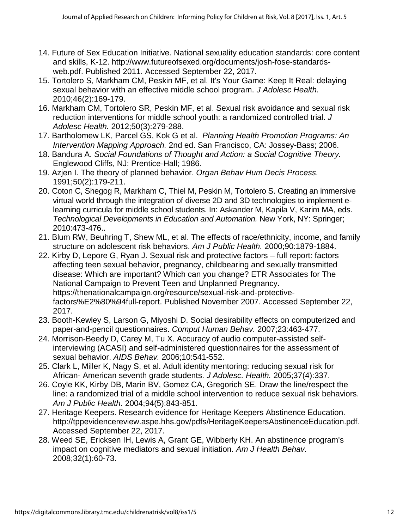- 14. Future of Sex Education Initiative. National sexuality education standards: core content and skills, K-12. http://www.futureofsexed.org/documents/josh-fose-standardsweb.pdf. Published 2011. Accessed September 22, 2017.
- 15. Tortolero S, Markham CM, Peskin MF, et al. It's Your Game: Keep It Real: delaying sexual behavior with an effective middle school program. *J Adolesc Health.* 2010;46(2):169-179.
- 16. Markham CM, Tortolero SR, Peskin MF, et al. Sexual risk avoidance and sexual risk reduction interventions for middle school youth: a randomized controlled trial. *J Adolesc Health.* 2012;50(3):279-288.
- 17. Bartholomew LK, Parcel GS, Kok G et al. *Planning Health Promotion Programs: An Intervention Mapping Approach.* 2nd ed. San Francisco, CA: Jossey-Bass; 2006.
- 18. Bandura A. *Social Foundations of Thought and Action: a Social Cognitive Theory.* Englewood Cliffs, NJ: Prentice-Hall; 1986.
- 19. Azjen I. The theory of planned behavior. *Organ Behav Hum Decis Process.* 1991;50(2):179-211.
- 20. Coton C, Shegog R, Markham C, Thiel M, Peskin M, Tortolero S. Creating an immersive virtual world through the integration of diverse 2D and 3D technologies to implement elearning curricula for middle school students. In: Askander M, Kapila V, Karim MA, eds. *Technological Developments in Education and Automation.* New York, NY: Springer; 2010:473-476..
- 21. Blum RW, Beuhring T, Shew ML, et al. The effects of race/ethnicity, income, and family structure on adolescent risk behaviors. *Am J Public Health.* 2000;90:1879-1884.
- 22. Kirby D, Lepore G, Ryan J. Sexual risk and protective factors full report: factors affecting teen sexual behavior, pregnancy, childbearing and sexually transmitted disease: Which are important? Which can you change? ETR Associates for The National Campaign to Prevent Teen and Unplanned Pregnancy. https://thenationalcampaign.org/resource/sexual-risk-and-protectivefactors%E2%80%94full-report. Published November 2007. Accessed September 22, 2017.
- 23. Booth-Kewley S, Larson G, Miyoshi D. Social desirability effects on computerized and paper-and-pencil questionnaires. *Comput Human Behav.* 2007;23:463-477.
- 24. Morrison-Beedy D, Carey M, Tu X. Accuracy of audio computer-assisted selfinterviewing (ACASI) and self-administered questionnaires for the assessment of sexual behavior. *AIDS Behav.* 2006;10:541-552.
- 25. Clark L, Miller K, Nagy S, et al. Adult identity mentoring: reducing sexual risk for African- American seventh grade students. *J Adolesc. Health.* 2005;37(4):337.
- 26. Coyle KK, Kirby DB, Marin BV, Gomez CA, Gregorich SE. Draw the line/respect the line: a randomized trial of a middle school intervention to reduce sexual risk behaviors. *Am J Public Health.* 2004;94(5):843-851.
- 27. Heritage Keepers. Research evidence for Heritage Keepers Abstinence Education. http://tppevidencereview.aspe.hhs.gov/pdfs/HeritageKeepersAbstinenceEducation.pdf. Accessed September 22, 2017.
- 28. Weed SE, Ericksen IH, Lewis A, Grant GE, Wibberly KH. An abstinence program's impact on cognitive mediators and sexual initiation. *Am J Health Behav.* 2008;32(1):60-73.